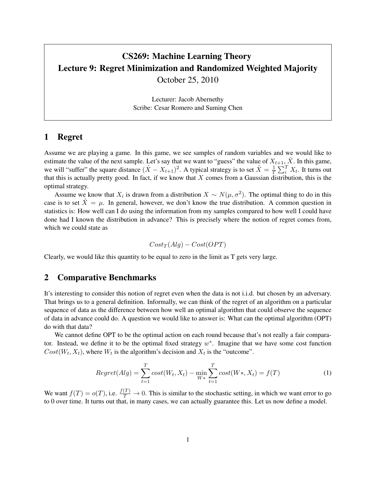# CS269: Machine Learning Theory Lecture 9: Regret Minimization and Randomized Weighted Majority October 25, 2010

Lecturer: Jacob Abernethy Scribe: Cesar Romero and Suming Chen

### 1 Regret

Assume we are playing a game. In this game, we see samples of random variables and we would like to estimate the value of the next sample. Let's say that we want to "guess" the value of  $X_{t+1}$ ,  $\hat{X}$ . In this game, we will "suffer" the square distance  $(\hat{X} - X_{t+1})^2$ . A typical strategy is to set  $\hat{X} = \frac{1}{T}$  $\frac{1}{T} \sum_{i}^{T} X_{t}$ . It turns out that this is actually pretty good. In fact, if we know that  $X$  comes from a Gaussian distribution, this is the optimal strategy.

Assume we know that  $X_i$  is drawn from a distribution  $X \sim N(\mu, \sigma^2)$ . The optimal thing to do in this case is to set  $\hat{X} = \mu$ . In general, however, we don't know the true distribution. A common question in statistics is: How well can I do using the information from my samples compared to how well I could have done had I known the distribution in advance? This is precisely where the notion of regret comes from, which we could state as

$$
Cost_T(Alg) - Cost(OPT)
$$

Clearly, we would like this quantity to be equal to zero in the limit as T gets very large.

#### 2 Comparative Benchmarks

It's interesting to consider this notion of regret even when the data is not i.i.d. but chosen by an adversary. That brings us to a general definition. Informally, we can think of the regret of an algorithm on a particular sequence of data as the difference between how well an optimal algorithm that could observe the sequence of data in advance could do. A question we would like to answer is: What can the optimal algorithm (OPT) do with that data?

We cannot define OPT to be the optimal action on each round because that's not really a fair comparator. Instead, we define it to be the optimal fixed strategy  $w^*$ . Imagine that we have some cost function  $Cost(W_t, X_t)$ , where  $W_t$  is the algorithm's decision and  $X_t$  is the "outcome".

$$
Regret(Alg) = \sum_{t=1}^{T} cost(W_t, X_t) - \min_{W*} \sum_{t=1}^{T} cost(W*, X_t) = f(T)
$$
 (1)

We want  $f(T) = o(T)$ , i.e.  $\frac{f(T)}{T} \to 0$ . This is similar to the stochastic setting, in which we want error to go to 0 over time. It turns out that, in many cases, we can actually guarantee this. Let us now define a model.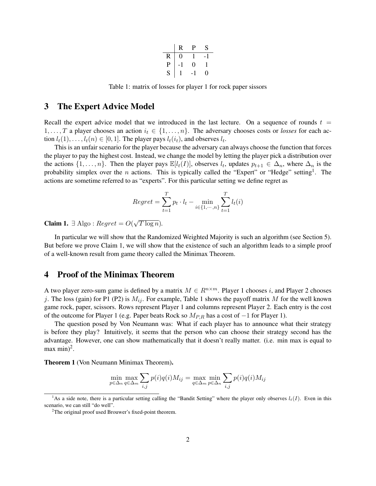|   | R | P | S |
|---|---|---|---|
| R | 0 |   |   |
| P |   | 0 |   |
| S |   |   | 0 |

Table 1: matrix of losses for player 1 for rock paper sissors

#### 3 The Expert Advice Model

Recall the expert advice model that we introduced in the last lecture. On a sequence of rounds  $t =$ 1, ..., T a player chooses an action  $i_t \in \{1, ..., n\}$ . The adversary chooses costs or *losses* for each action  $l_t(1), \ldots, l_t(n) \in [0, 1]$ . The player pays  $l_t(i_t)$ , and observes  $l_t$ .

This is an unfair scenario for the player because the adversary can always choose the function that forces the player to pay the highest cost. Instead, we change the model by letting the player pick a distribution over the actions  $\{1,\ldots,n\}$ . Then the player pays  $\mathbb{E}[l_t(I)]$ , observes  $l_t$ , updates  $p_{t+1} \in \Delta_n$ , where  $\Delta_n$  is the probability simplex over the *n* actions. This is typically called the "Expert" or "Hedge" setting<sup>1</sup>. The actions are sometime referred to as "experts". For this particular setting we define regret as

$$
Regret = \sum_{t=1}^{T} p_t \cdot l_t - \min_{i \in \{1, \cdots, n\}} \sum_{t=1}^{T} l_t(i)
$$

**Claim 1.** ∃ Algo :  $Regret = O($ √  $\overline{T \log n}$ ).

In particular we will show that the Randomized Weighted Majority is such an algorithm (see Section 5). But before we prove Claim 1, we will show that the existence of such an algorithm leads to a simple proof of a well-known result from game theory called the Minimax Theorem.

#### 4 Proof of the Minimax Theorem

A two player zero-sum game is defined by a matrix  $M \in R^{n \times m}$ . Player 1 chooses i, and Player 2 chooses j. The loss (gain) for P1 (P2) is  $M_{ij}$ . For example, Table 1 shows the payoff matrix M for the well known game rock, paper, scissors. Rows represent Player 1 and columns represent Player 2. Each entry is the cost of the outcome for Player 1 (e.g. Paper beats Rock so  $M_{P,R}$  has a cost of  $-1$  for Player 1).

The question posed by Von Neumann was: What if each player has to announce what their strategy is before they play? Intuitively, it seems that the person who can choose their strategy second has the advantage. However, one can show mathematically that it doesn't really matter. (i.e. min max is equal to max min $)^2$ .

Theorem 1 (Von Neumann Minimax Theorem).

$$
\min_{p \in \Delta_n} \max_{q \in \Delta_m} \sum_{i,j} p(i)q(i)M_{ij} = \max_{q \in \Delta_m} \min_{p \in \Delta_n} \sum_{i,j} p(i)q(i)M_{ij}
$$

<sup>&</sup>lt;sup>1</sup>As a side note, there is a particular setting calling the "Bandit Setting" where the player only observes  $l_t(I)$ . Even in this scenario, we can still "do well".

<sup>&</sup>lt;sup>2</sup>The original proof used Brouwer's fixed-point theorem.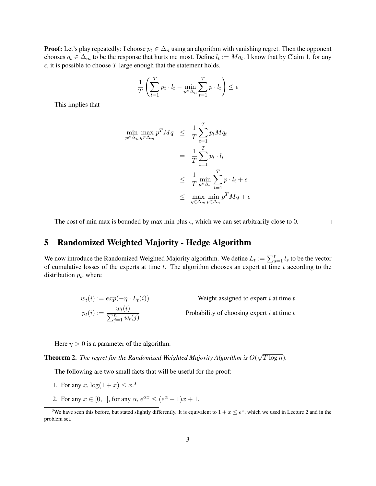**Proof:** Let's play repeatedly: I choose  $p_t \in \Delta_n$  using an algorithm with vanishing regret. Then the opponent chooses  $q_t \in \Delta_m$  to be the response that hurts me most. Define  $l_t := Mq_t$ . I know that by Claim 1, for any  $\epsilon$ , it is possible to choose T large enough that the statement holds.

$$
\frac{1}{T} \left( \sum_{t=1}^{T} p_t \cdot l_t - \min_{p \in \Delta_n} \sum_{t=1}^{T} p \cdot l_t \right) \le \epsilon
$$

This implies that

$$
\begin{aligned}\n\min_{p \in \Delta_n} \max_{q \in \Delta_m} p^T M q &\leq \frac{1}{T} \sum_{t=1}^T p_t M q_t \\
&= \frac{1}{T} \sum_{t=1}^T p_t \cdot l_t \\
&\leq \frac{1}{T} \min_{p \in \Delta_n} \sum_{t=1}^T p \cdot l_t + \epsilon \\
&\leq \max_{q \in \Delta_m} \min_{p \in \Delta_n} p^T M q + \epsilon\n\end{aligned}
$$

The cost of min max is bounded by max min plus  $\epsilon$ , which we can set arbitrarily close to 0.  $\Box$ 

## 5 Randomized Weighted Majority - Hedge Algorithm

We now introduce the Randomized Weighted Majority algorithm. We define  $L_t := \sum_{s=1}^t l_s$  to be the vector of cumulative losses of the experts at time  $t$ . The algorithm chooses an expert at time  $t$  according to the distribution  $p_t$ , where

$$
w_t(i) := exp(-\eta \cdot L_t(i))
$$
 Weight assigned to expert *i* at time *t*  

$$
p_t(i) := \frac{w_t(i)}{\sum_{j=1}^n w_t(j)}
$$
Probability of choosing expert *i* at time *t*

Here  $\eta > 0$  is a parameter of the algorithm.

Theorem 2. *The regret for the Randomized Weighted Majority Algorithm is* O( √  $\overline{T \log n}$ ).

The following are two small facts that will be useful for the proof:

- 1. For any x,  $\log(1 + x) \leq x^{3}$
- 2. For any  $x \in [0, 1]$ , for any  $\alpha$ ,  $e^{\alpha x} \le (e^{\alpha} 1)x + 1$ .

<sup>&</sup>lt;sup>3</sup>We have seen this before, but stated slightly differently. It is equivalent to  $1+x \le e^x$ , which we used in Lecture 2 and in the problem set.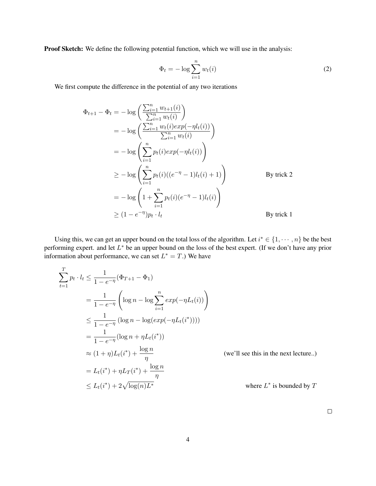Proof Sketch: We define the following potential function, which we will use in the analysis:

$$
\Phi_t = -\log \sum_{i=1}^n w_t(i) \tag{2}
$$

We first compute the difference in the potential of any two iterations

$$
\Phi_{t+1} - \Phi_t = -\log\left(\frac{\sum_{i=1}^n w_{t+1}(i)}{\sum_{i=1}^n w_i(i)}\right)
$$
  
\n
$$
= -\log\left(\frac{\sum_{i=1}^n w_t(i)exp(-\eta l_t(i))}{\sum_{i=1}^n w_i(i)}\right)
$$
  
\n
$$
= -\log\left(\sum_{i=1}^n p_t(i)exp(-\eta l_t(i))\right)
$$
  
\n
$$
\geq -\log\left(\sum_{i=1}^n p_t(i)((e^{-\eta} - 1)l_t(i) + 1)\right)
$$
By trick 2  
\n
$$
= -\log\left(1 + \sum_{i=1}^n p_t(i)(e^{-\eta} - 1)l_t(i)\right)
$$
  
\n
$$
\geq (1 - e^{-\eta})p_t \cdot l_t
$$
By trick 1

Using this, we can get an upper bound on the total loss of the algorithm. Let  $i^* \in \{1, \dots, n\}$  be the best performing expert. and let  $L^*$  be an upper bound on the loss of the best expert. (If we don't have any prior information about performance, we can set  $L^* = T$ .) We have

$$
\sum_{t=1}^{T} p_t \cdot l_t \le \frac{1}{1 - e^{-\eta}} (\Phi_{T+1} - \Phi_1)
$$
\n
$$
= \frac{1}{1 - e^{-\eta}} \left( \log n - \log \sum_{i=1}^{n} exp(-\eta L_t(i)) \right)
$$
\n
$$
\le \frac{1}{1 - e^{-\eta}} (\log n - \log(exp(-\eta L_t(i^*))))
$$
\n
$$
= \frac{1}{1 - e^{-\eta}} (\log n + \eta L_t(i^*))
$$
\n
$$
\approx (1 + \eta) L_t(i^*) + \frac{\log n}{\eta}
$$
\n(we'll see this in the next lecture.)

\n
$$
= L_t(i^*) + \eta L_T(i^*) + \frac{\log n}{\eta}
$$
\n
$$
\le L_t(i^*) + 2\sqrt{\log(n)L^*}
$$
\nwhere  $L^*$  is bounded by  $T$ 

 $\Box$